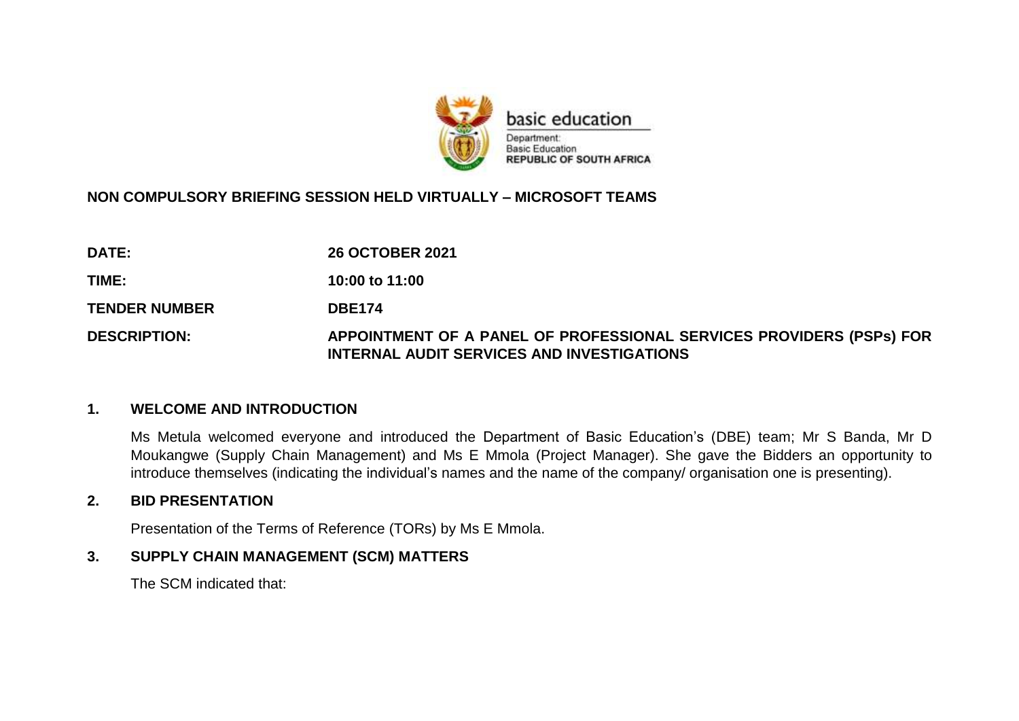

# **NON COMPULSORY BRIEFING SESSION HELD VIRTUALLY – MICROSOFT TEAMS**

| <b>DATE:</b>         | <b>26 OCTOBER 2021</b>                                                                                             |
|----------------------|--------------------------------------------------------------------------------------------------------------------|
| TIME:                | 10:00 to 11:00                                                                                                     |
| <b>TENDER NUMBER</b> | <b>DBE174</b>                                                                                                      |
| <b>DESCRIPTION:</b>  | APPOINTMENT OF A PANEL OF PROFESSIONAL SERVICES PROVIDERS (PSPs) FOR<br>INTERNAL AUDIT SERVICES AND INVESTIGATIONS |

#### **1. WELCOME AND INTRODUCTION**

Ms Metula welcomed everyone and introduced the Department of Basic Education's (DBE) team; Mr S Banda, Mr D Moukangwe (Supply Chain Management) and Ms E Mmola (Project Manager). She gave the Bidders an opportunity to introduce themselves (indicating the individual's names and the name of the company/ organisation one is presenting).

#### **2. BID PRESENTATION**

Presentation of the Terms of Reference (TORs) by Ms E Mmola.

## **3. SUPPLY CHAIN MANAGEMENT (SCM) MATTERS**

The SCM indicated that: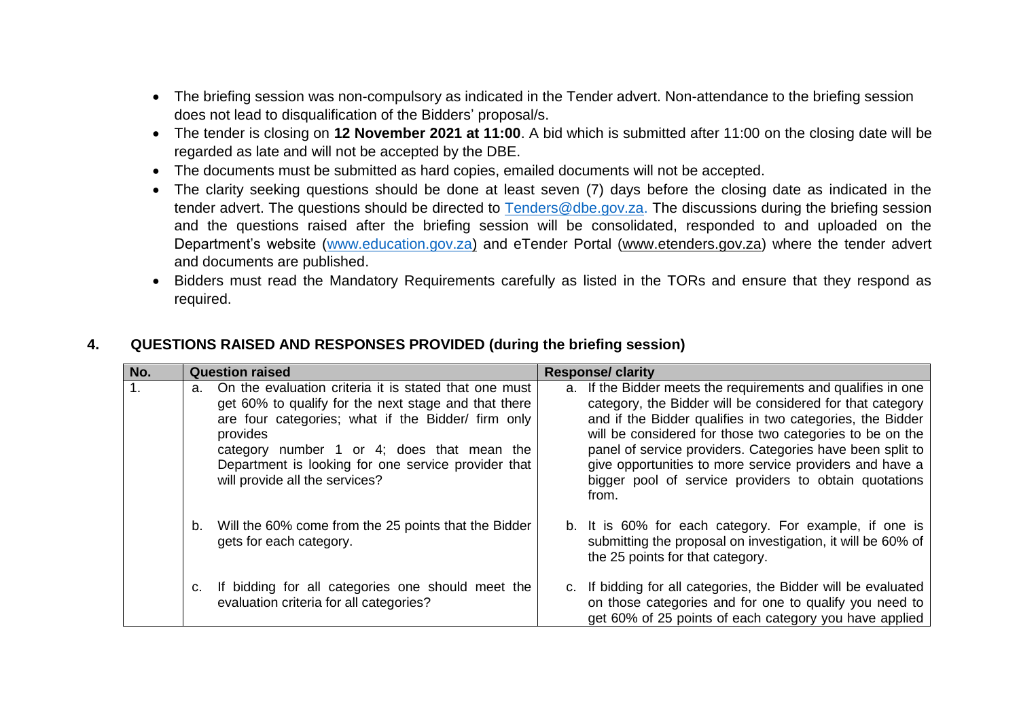- The briefing session was non-compulsory as indicated in the Tender advert. Non-attendance to the briefing session does not lead to disqualification of the Bidders' proposal/s.
- The tender is closing on **12 November 2021 at 11:00**. A bid which is submitted after 11:00 on the closing date will be regarded as late and will not be accepted by the DBE.
- The documents must be submitted as hard copies, emailed documents will not be accepted.
- The clarity seeking questions should be done at least seven (7) days before the closing date as indicated in the tender advert. The questions should be directed to [Tenders@dbe.gov.za.](mailto:Tenders@dbe.gov.za) The discussions during the briefing session and the questions raised after the briefing session will be consolidated, responded to and uploaded on the Department's website [\(www.education.gov.za\)](http://www.education.gov.za/) and eTender Portal [\(www.etenders.gov.za\)](http://www.etenders.gov.za/) where the tender advert and documents are published.
- Bidders must read the Mandatory Requirements carefully as listed in the TORs and ensure that they respond as required.

## **4. QUESTIONS RAISED AND RESPONSES PROVIDED (during the briefing session)**

| No.              | <b>Question raised</b> |                                                                                                                                                                                                                                                                                                                        | <b>Response/ clarity</b> |                                                                                                                                                                                                                                                                                                                                                                                                                                              |
|------------------|------------------------|------------------------------------------------------------------------------------------------------------------------------------------------------------------------------------------------------------------------------------------------------------------------------------------------------------------------|--------------------------|----------------------------------------------------------------------------------------------------------------------------------------------------------------------------------------------------------------------------------------------------------------------------------------------------------------------------------------------------------------------------------------------------------------------------------------------|
| $\overline{1}$ . | a.                     | On the evaluation criteria it is stated that one must<br>get 60% to qualify for the next stage and that there<br>are four categories; what if the Bidder/ firm only<br>provides<br>category number 1 or 4; does that mean the<br>Department is looking for one service provider that<br>will provide all the services? |                          | a. If the Bidder meets the requirements and qualifies in one<br>category, the Bidder will be considered for that category<br>and if the Bidder qualifies in two categories, the Bidder<br>will be considered for those two categories to be on the<br>panel of service providers. Categories have been split to<br>give opportunities to more service providers and have a<br>bigger pool of service providers to obtain quotations<br>from. |
|                  | b.                     | Will the 60% come from the 25 points that the Bidder<br>gets for each category.                                                                                                                                                                                                                                        |                          | b. It is 60% for each category. For example, if one is<br>submitting the proposal on investigation, it will be 60% of<br>the 25 points for that category.                                                                                                                                                                                                                                                                                    |
|                  |                        | If bidding for all categories one should meet the<br>evaluation criteria for all categories?                                                                                                                                                                                                                           |                          | c. If bidding for all categories, the Bidder will be evaluated<br>on those categories and for one to qualify you need to<br>get 60% of 25 points of each category you have applied                                                                                                                                                                                                                                                           |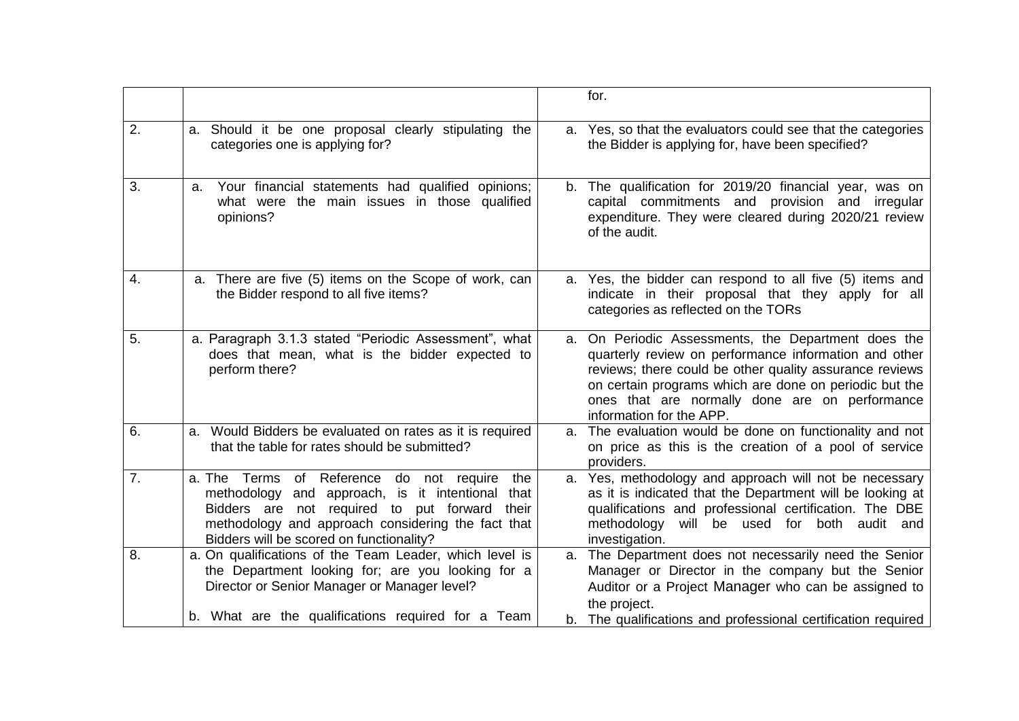|                  |                                                                                                                                                                                                                                                                 | for.                                                                                                                                                                                                                                                                                                            |
|------------------|-----------------------------------------------------------------------------------------------------------------------------------------------------------------------------------------------------------------------------------------------------------------|-----------------------------------------------------------------------------------------------------------------------------------------------------------------------------------------------------------------------------------------------------------------------------------------------------------------|
| 2.               | a. Should it be one proposal clearly stipulating the<br>categories one is applying for?                                                                                                                                                                         | a. Yes, so that the evaluators could see that the categories<br>the Bidder is applying for, have been specified?                                                                                                                                                                                                |
| 3.               | Your financial statements had qualified opinions;<br>a.<br>what were the main issues in those qualified<br>opinions?                                                                                                                                            | b. The qualification for 2019/20 financial year, was on<br>capital commitments and provision and irregular<br>expenditure. They were cleared during 2020/21 review<br>of the audit.                                                                                                                             |
| 4.               | a. There are five (5) items on the Scope of work, can<br>the Bidder respond to all five items?                                                                                                                                                                  | a. Yes, the bidder can respond to all five (5) items and<br>indicate in their proposal that they apply for all<br>categories as reflected on the TORs                                                                                                                                                           |
| 5.               | a. Paragraph 3.1.3 stated "Periodic Assessment", what<br>does that mean, what is the bidder expected to<br>perform there?                                                                                                                                       | a. On Periodic Assessments, the Department does the<br>quarterly review on performance information and other<br>reviews; there could be other quality assurance reviews<br>on certain programs which are done on periodic but the<br>ones that are normally done are on performance<br>information for the APP. |
| 6.               | a. Would Bidders be evaluated on rates as it is required<br>that the table for rates should be submitted?                                                                                                                                                       | a. The evaluation would be done on functionality and not<br>on price as this is the creation of a pool of service<br>providers.                                                                                                                                                                                 |
| $\overline{7}$ . | a. The Terms of Reference do not require<br>the<br>and approach, is it intentional<br>methodology<br>that<br>Bidders are not required to put forward<br>their<br>methodology and approach considering the fact that<br>Bidders will be scored on functionality? | a. Yes, methodology and approach will not be necessary<br>as it is indicated that the Department will be looking at<br>qualifications and professional certification. The DBE<br>methodology<br>will be used for<br>both audit and<br>investigation.                                                            |
| 8.               | a. On qualifications of the Team Leader, which level is<br>the Department looking for; are you looking for a<br>Director or Senior Manager or Manager level?                                                                                                    | a. The Department does not necessarily need the Senior<br>Manager or Director in the company but the Senior<br>Auditor or a Project Manager who can be assigned to<br>the project.                                                                                                                              |
|                  | b. What are the qualifications required for a Team                                                                                                                                                                                                              | b. The qualifications and professional certification required                                                                                                                                                                                                                                                   |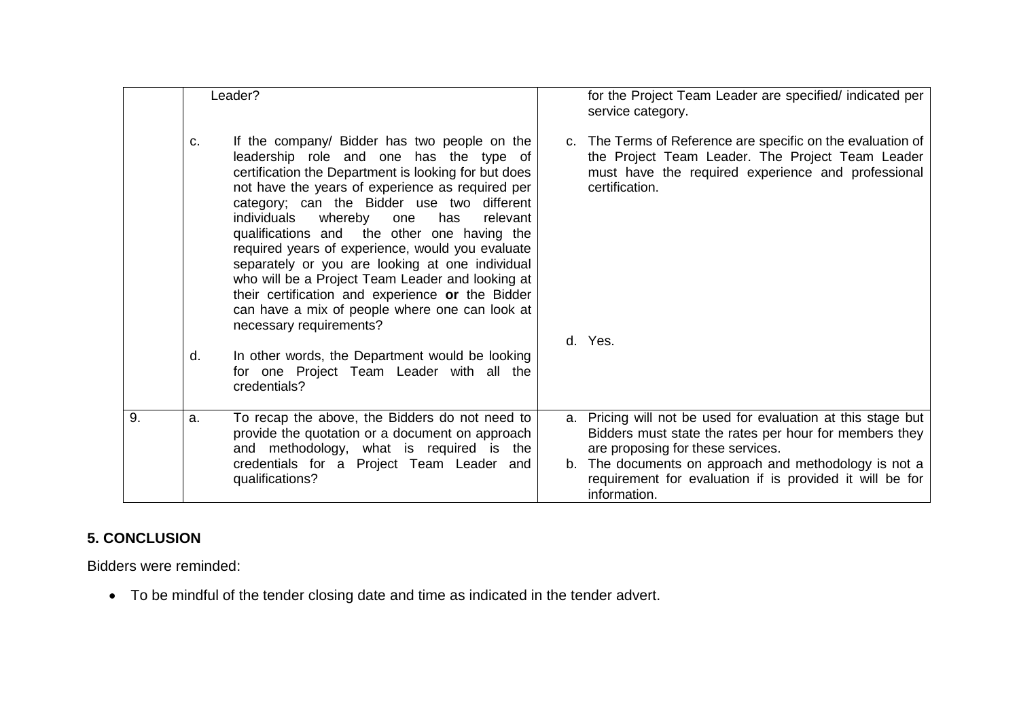|    | Leader?                                                                                                                                                                                                                                                                                                                                                                                                                                                                                                                                                                                                                                                |                                                                                                                                                                                                               | for the Project Team Leader are specified/ indicated per<br>service category.                                                                                                                                                                                                                    |
|----|--------------------------------------------------------------------------------------------------------------------------------------------------------------------------------------------------------------------------------------------------------------------------------------------------------------------------------------------------------------------------------------------------------------------------------------------------------------------------------------------------------------------------------------------------------------------------------------------------------------------------------------------------------|---------------------------------------------------------------------------------------------------------------------------------------------------------------------------------------------------------------|--------------------------------------------------------------------------------------------------------------------------------------------------------------------------------------------------------------------------------------------------------------------------------------------------|
|    | If the company/ Bidder has two people on the<br>c.<br>leadership role and one has the type of<br>certification the Department is looking for but does<br>not have the years of experience as required per<br>category; can the Bidder use two different<br>individuals<br>whereby<br>has<br>relevant<br>one<br>qualifications and the other one having the<br>required years of experience, would you evaluate<br>separately or you are looking at one individual<br>who will be a Project Team Leader and looking at<br>their certification and experience or the Bidder<br>can have a mix of people where one can look at<br>necessary requirements? |                                                                                                                                                                                                               | c. The Terms of Reference are specific on the evaluation of<br>the Project Team Leader. The Project Team Leader<br>must have the required experience and professional<br>certification.                                                                                                          |
|    | d.                                                                                                                                                                                                                                                                                                                                                                                                                                                                                                                                                                                                                                                     | In other words, the Department would be looking<br>for one Project Team Leader with all the<br>credentials?                                                                                                   | d. Yes.                                                                                                                                                                                                                                                                                          |
| 9. | a.                                                                                                                                                                                                                                                                                                                                                                                                                                                                                                                                                                                                                                                     | To recap the above, the Bidders do not need to<br>provide the quotation or a document on approach<br>and methodology, what is required is the<br>credentials for a Project Team Leader and<br>qualifications? | a. Pricing will not be used for evaluation at this stage but<br>Bidders must state the rates per hour for members they<br>are proposing for these services.<br>b. The documents on approach and methodology is not a<br>requirement for evaluation if is provided it will be for<br>information. |

# **5. CONCLUSION**

Bidders were reminded:

To be mindful of the tender closing date and time as indicated in the tender advert.